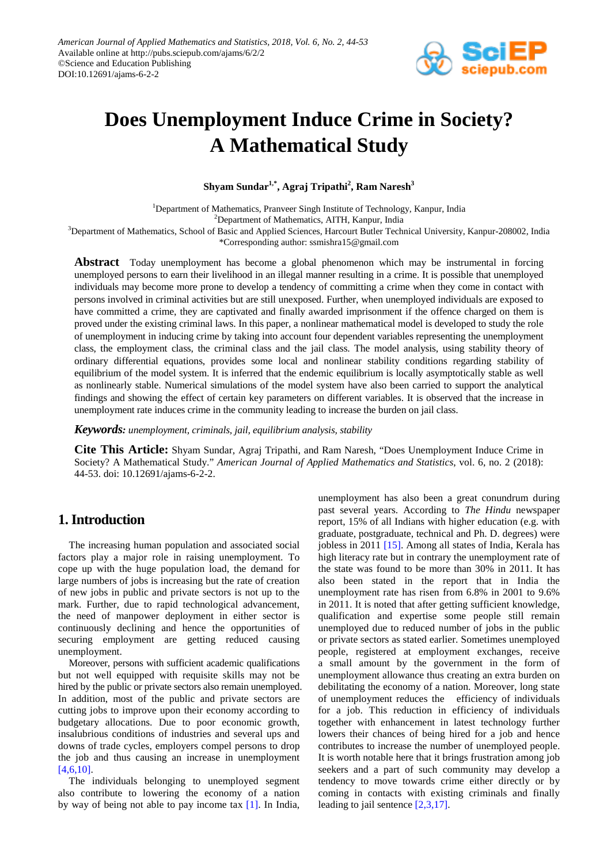

# **Does Unemployment Induce Crime in Society? A Mathematical Study**

 $\boldsymbol{\mathrm{Shyam\,Sundar}^{1,*}, \boldsymbol{\mathrm{Agraj\,Tripathi}^{2}, \boldsymbol{\mathrm{Ram\,Naresh}^{3}}$ 

<sup>1</sup>Department of Mathematics, Pranveer Singh Institute of Technology, Kanpur, India

<sup>2</sup>Department of Mathematics, AITH, Kanpur, India

<sup>3</sup>Department of Mathematics, School of Basic and Applied Sciences, Harcourt Butler Technical University, Kanpur-208002, India \*Corresponding author: ssmishra15@gmail.com

**Abstract** Today unemployment has become a global phenomenon which may be instrumental in forcing unemployed persons to earn their livelihood in an illegal manner resulting in a crime. It is possible that unemployed individuals may become more prone to develop a tendency of committing a crime when they come in contact with persons involved in criminal activities but are still unexposed. Further, when unemployed individuals are exposed to have committed a crime, they are captivated and finally awarded imprisonment if the offence charged on them is proved under the existing criminal laws. In this paper, a nonlinear mathematical model is developed to study the role of unemployment in inducing crime by taking into account four dependent variables representing the unemployment class, the employment class, the criminal class and the jail class. The model analysis, using stability theory of ordinary differential equations, provides some local and nonlinear stability conditions regarding stability of equilibrium of the model system. It is inferred that the endemic equilibrium is locally asymptotically stable as well as nonlinearly stable. Numerical simulations of the model system have also been carried to support the analytical findings and showing the effect of certain key parameters on different variables. It is observed that the increase in unemployment rate induces crime in the community leading to increase the burden on jail class.

*Keywords: unemployment, criminals, jail, equilibrium analysis, stability*

**Cite This Article:** Shyam Sundar, Agraj Tripathi, and Ram Naresh, "Does Unemployment Induce Crime in Society? A Mathematical Study." *American Journal of Applied Mathematics and Statistics*, vol. 6, no. 2 (2018): 44-53. doi: 10.12691/ajams-6-2-2.

# **1. Introduction**

The increasing human population and associated social factors play a major role in raising unemployment. To cope up with the huge population load, the demand for large numbers of jobs is increasing but the rate of creation of new jobs in public and private sectors is not up to the mark. Further, due to rapid technological advancement, the need of manpower deployment in either sector is continuously declining and hence the opportunities of securing employment are getting reduced causing unemployment.

Moreover, persons with sufficient academic qualifications but not well equipped with requisite skills may not be hired by the public or private sectors also remain unemployed. In addition, most of the public and private sectors are cutting jobs to improve upon their economy according to budgetary allocations. Due to poor economic growth, insalubrious conditions of industries and several ups and downs of trade cycles, employers compel persons to drop the job and thus causing an increase in unemployment [\[4,6,10\].](#page-7-0) 

The individuals belonging to unemployed segment also contribute to lowering the economy of a nation by way of being not able to pay income tax [\[1\].](#page-7-1) In India,

unemployment has also been a great conundrum during past several years. According to *The Hindu* newspaper report, 15% of all Indians with higher education (e.g. with graduate, postgraduate, technical and Ph. D. degrees) were jobless in 2011 [\[15\].](#page-7-2) Among all states of India, Kerala has high literacy rate but in contrary the unemployment rate of the state was found to be more than 30% in 2011. It has also been stated in the report that in India the unemployment rate has risen from 6.8% in 2001 to 9.6% in 2011. It is noted that after getting sufficient knowledge, qualification and expertise some people still remain unemployed due to reduced number of jobs in the public or private sectors as stated earlier. Sometimes unemployed people, registered at employment exchanges, receive a small amount by the government in the form of unemployment allowance thus creating an extra burden on debilitating the economy of a nation. Moreover, long state of unemployment reduces the efficiency of individuals for a job. This reduction in efficiency of individuals together with enhancement in latest technology further lowers their chances of being hired for a job and hence contributes to increase the number of unemployed people. It is worth notable here that it brings frustration among job seekers and a part of such community may develop a tendency to move towards crime either directly or by coming in contacts with existing criminals and finally leading to jail sentence [\[2,3,17\].](#page-7-3)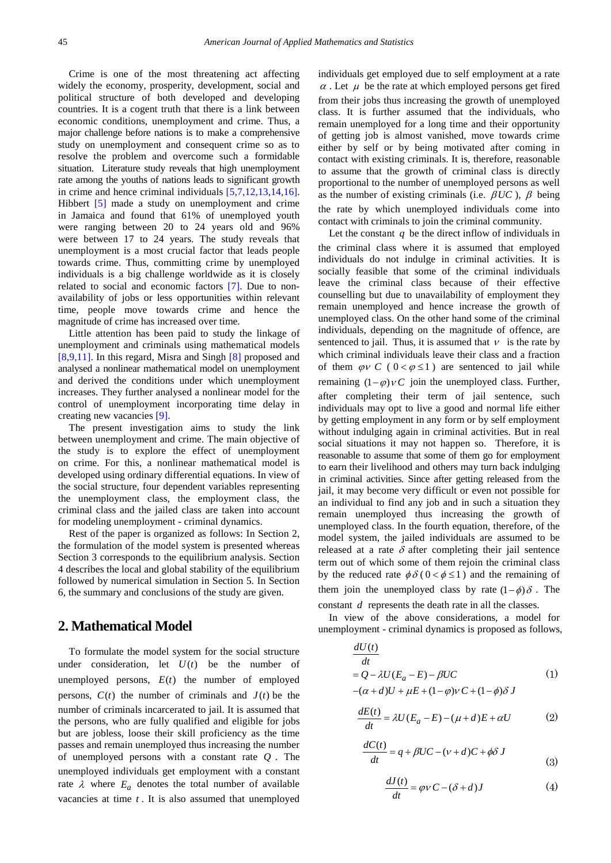Crime is one of the most threatening act affecting widely the economy, prosperity, development, social and political structure of both developed and developing countries. It is a cogent truth that there is a link between economic conditions, unemployment and crime. Thus, a major challenge before nations is to make a comprehensive study on unemployment and consequent crime so as to resolve the problem and overcome such a formidable situation. Literature study reveals that high unemployment rate among the youths of nations leads to significant growth in crime and hence criminal individuals [\[5,7,12,13,14,16\].](#page-7-4) Hibbert [\[5\]](#page-7-4) made a study on unemployment and crime in Jamaica and found that 61% of unemployed youth were ranging between 20 to 24 years old and 96% were between 17 to 24 years. The study reveals that unemployment is a most crucial factor that leads people towards crime. Thus, committing crime by unemployed individuals is a big challenge worldwide as it is closely related to social and economic factors [\[7\].](#page-7-5) Due to nonavailability of jobs or less opportunities within relevant time, people move towards crime and hence the magnitude of crime has increased over time.

Little attention has been paid to study the linkage of unemployment and criminals using mathematical models [\[8,9,11\].](#page-7-6) In this regard, Misra and Singh [\[8\]](#page-7-6) proposed and analysed a nonlinear mathematical model on unemployment and derived the conditions under which unemployment increases. They further analysed a nonlinear model for the control of unemployment incorporating time delay in creating new vacancies [\[9\].](#page-7-7)

The present investigation aims to study the link between unemployment and crime. The main objective of the study is to explore the effect of unemployment on crime. For this, a nonlinear mathematical model is developed using ordinary differential equations. In view of the social structure, four dependent variables representing the unemployment class, the employment class, the criminal class and the jailed class are taken into account for modeling unemployment - criminal dynamics.

Rest of the paper is organized as follows: In Section 2, the formulation of the model system is presented whereas Section 3 corresponds to the equilibrium analysis. Section 4 describes the local and global stability of the equilibrium followed by numerical simulation in Section 5. In Section 6, the summary and conclusions of the study are given.

### **2. Mathematical Model**

To formulate the model system for the social structure under consideration, let  $U(t)$  be the number of unemployed persons,  $E(t)$  the number of employed persons,  $C(t)$  the number of criminals and  $J(t)$  be the number of criminals incarcerated to jail. It is assumed that the persons, who are fully qualified and eligible for jobs but are jobless, loose their skill proficiency as the time passes and remain unemployed thus increasing the number of unemployed persons with a constant rate *Q* . The unemployed individuals get employment with a constant rate  $\lambda$  where  $E_a$  denotes the total number of available vacancies at time *t* . It is also assumed that unemployed

individuals get employed due to self employment at a rate  $\alpha$ . Let  $\mu$  be the rate at which employed persons get fired from their jobs thus increasing the growth of unemployed class. It is further assumed that the individuals, who remain unemployed for a long time and their opportunity of getting job is almost vanished, move towards crime either by self or by being motivated after coming in contact with existing criminals. It is, therefore, reasonable to assume that the growth of criminal class is directly proportional to the number of unemployed persons as well as the number of existing criminals (i.e.  $\beta UC$ ),  $\beta$  being the rate by which unemployed individuals come into contact with criminals to join the criminal community.

Let the constant  $q$  be the direct inflow of individuals in the criminal class where it is assumed that employed individuals do not indulge in criminal activities. It is socially feasible that some of the criminal individuals leave the criminal class because of their effective counselling but due to unavailability of employment they remain unemployed and hence increase the growth of unemployed class. On the other hand some of the criminal individuals, depending on the magnitude of offence, are sentenced to jail. Thus, it is assumed that  $\nu$  is the rate by which criminal individuals leave their class and a fraction of them  $\varphi$ ν *C* (  $0 < \varphi \le 1$  ) are sentenced to jail while remaining  $(1 - \varphi) \vee C$  join the unemployed class. Further, after completing their term of jail sentence, such individuals may opt to live a good and normal life either by getting employment in any form or by self employment without indulging again in criminal activities. But in real social situations it may not happen so. Therefore, it is reasonable to assume that some of them go for employment to earn their livelihood and others may turn back indulging in criminal activities. Since after getting released from the jail, it may become very difficult or even not possible for an individual to find any job and in such a situation they remain unemployed thus increasing the growth of unemployed class. In the fourth equation, therefore, of the model system, the jailed individuals are assumed to be released at a rate  $\delta$  after completing their jail sentence term out of which some of them rejoin the criminal class by the reduced rate  $\phi \delta$  (  $0 < \phi \le 1$  ) and the remaining of them join the unemployed class by rate  $(1 - \phi)$  δ. The

constant *d* represents the death rate in all the classes.

*dU t*

In view of the above considerations, a model for unemployment - criminal dynamics is proposed as follows,

$$
\frac{dU(t)}{dt}
$$
  
=  $Q - \lambda U(E_a - E) - \beta UC$  (1)  
– $(\alpha + d)U + \mu E + (1 - \varphi)V C + (1 - \varphi)\delta J$ 

$$
\frac{dE(t)}{dt} = \lambda U (E_a - E) - (\mu + d)E + \alpha U \tag{2}
$$

$$
\frac{dC(t)}{dt} = q + \beta UC - (\nu + d)C + \phi \delta J
$$
\n(3)

$$
\frac{dJ(t)}{dt} = \varphi v C - (\delta + d)J\tag{4}
$$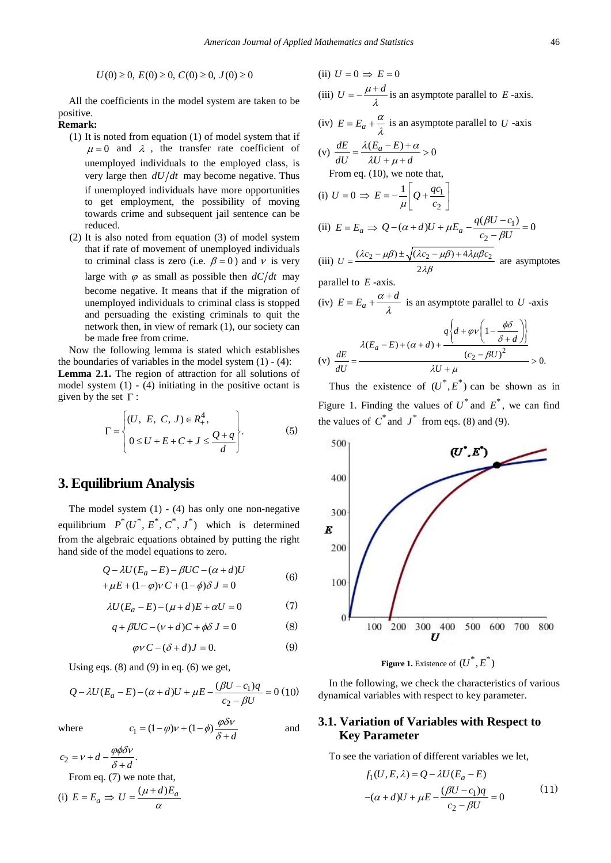$$
U(0) \ge 0, E(0) \ge 0, C(0) \ge 0, J(0) \ge 0
$$

All the coefficients in the model system are taken to be positive.

#### **Remark:**

- (1) It is noted from equation (1) of model system that if  $\mu = 0$  and  $\lambda$ , the transfer rate coefficient of unemployed individuals to the employed class, is very large then *dU dt* may become negative. Thus if unemployed individuals have more opportunities to get employment, the possibility of moving towards crime and subsequent jail sentence can be reduced.
- (2) It is also noted from equation (3) of model system that if rate of movement of unemployed individuals to criminal class is zero (i.e.  $\beta = 0$ ) and v is very large with  $\varphi$  as small as possible then  $dC/dt$  may become negative. It means that if the migration of unemployed individuals to criminal class is stopped and persuading the existing criminals to quit the network then, in view of remark (1), our society can be made free from crime.

Now the following lemma is stated which establishes the boundaries of variables in the model system  $(1) - (4)$ : **Lemma 2.1.** The region of attraction for all solutions of model system  $(1)$  -  $(4)$  initiating in the positive octant is given by the set  $\Gamma$ :

$$
\Gamma = \begin{cases} (U, E, C, J) \in R_+^4, \\ 0 \le U + E + C + J \le \frac{Q + q}{d} \end{cases}.
$$
 (5)

#### **3. Equilibrium Analysis**

The model system  $(1)$  -  $(4)$  has only one non-negative equilibrium  $P^*(U^*, E^*, C^*, J^*)$  which is determined from the algebraic equations obtained by putting the right hand side of the model equations to zero.

$$
Q - \lambda U(E_a - E) - \beta U C - (\alpha + d)U
$$
  
+
$$
\mu E + (1 - \varphi)v C + (1 - \varphi)\delta J = 0
$$
 (6)

$$
\lambda U (E_a - E) - (\mu + d)E + \alpha U = 0 \tag{7}
$$

$$
q + \beta UC - (\nu + d)C + \phi \delta J = 0 \tag{8}
$$

$$
\varphi v C - (\delta + d)J = 0. \tag{9}
$$

Using eqs.  $(8)$  and  $(9)$  in eq.  $(6)$  we get,

$$
Q - \lambda U (E_a - E) - (\alpha + d)U + \mu E - \frac{(\beta U - c_1)q}{c_2 - \beta U} = 0 (10)
$$

where  $c_1 = (1 - \varphi)v + (1 - \varphi)\frac{\varphi \delta v}{\delta + d}$ 

$$
\frac{1}{\sqrt{2}} \qquad \qquad \text{and} \qquad
$$

$$
c_2 = v + d - \frac{\varphi \phi \delta v}{\delta + d}.
$$
  
From eq. (7) we note that,

(i) 
$$
E = E_a \Rightarrow U = \frac{(\mu + d)E_a}{\alpha}
$$

(ii) 
$$
U = 0 \Rightarrow E = 0
$$
  
\n(iii)  $U = -\frac{\mu + d}{\lambda}$  is an asymptote parallel to *E*-axis.  
\n(iv)  $E = E_a + \frac{\alpha}{\lambda}$  is an asymptote parallel to *U*-axis  
\n(v)  $\frac{dE}{dU} = \frac{\lambda(E_a - E) + \alpha}{\lambda U + \mu + d} > 0$   
\nFrom eq. (10), we note that,  
\n(i)  $U = 0 \Rightarrow E = -\frac{1}{\mu} \left[ Q + \frac{qc_1}{c_2} \right]$   
\n(ii)  $E = E_a \Rightarrow Q - (\alpha + d)U + \mu E_a - \frac{q(\beta U - c_1)}{c_2 - \beta U} = 0$   
\n(iii)  $U = \frac{(\lambda c_2 - \mu \beta) \pm \sqrt{(\lambda c_2 - \mu \beta) + 4\lambda \mu \beta c_2}}{2\lambda \beta}$  are asymptotes

parallel to *E* -axis.

(iv) 
$$
E = E_a + \frac{\alpha + d}{\lambda}
$$
 is an asymptote parallel to U -axis

$$
(v)\ \frac{dE}{dU} = \frac{\lambda(E_a - E) + (\alpha + d) + \frac{q\left\{d + \varphi v\left(1 - \frac{\phi\delta}{\delta + d}\right)\right\}}{(\alpha_2 - \beta U)^2}}{\lambda U + \mu} > 0.
$$

Thus the existence of  $(U^*, E^*)$  can be shown as in Figure 1. Finding the values of  $U^*$  and  $E^*$ , we can find the values of  $C^*$  and  $J^*$  from eqs. (8) and (9).



**Figure 1.** Existence of  $(U^*, E^*)$ 

In the following, we check the characteristics of various dynamical variables with respect to key parameter.

#### **3.1. Variation of Variables with Respect to Key Parameter**

To see the variation of different variables we let,

$$
f_1(U, E, \lambda) = Q - \lambda U (E_a - E)
$$
  
-(\alpha + d)U + \mu E -  $\frac{(\beta U - c_1)q}{c_2 - \beta U} = 0$  (11)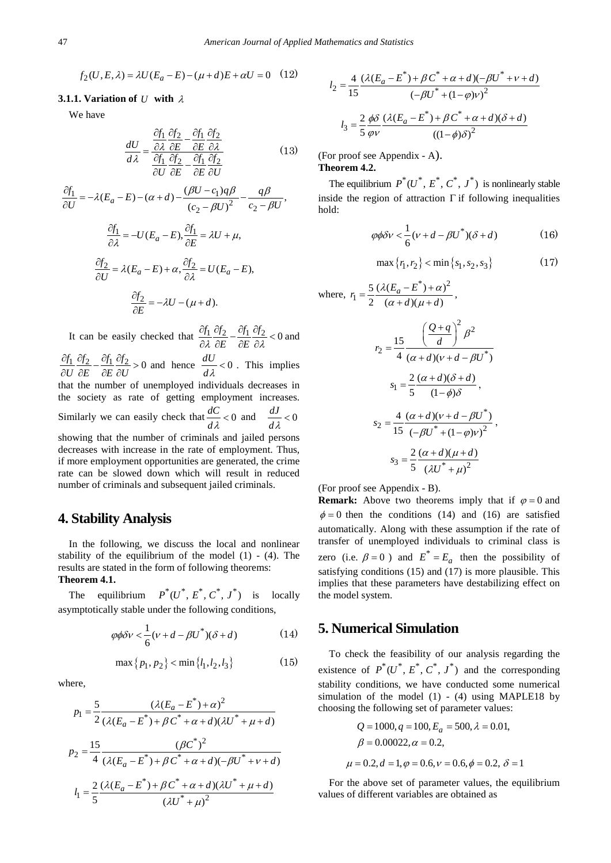$$
f_2(U, E, \lambda) = \lambda U (E_a - E) - (\mu + d)E + \alpha U = 0 \quad (12)
$$

#### **3.1.1. Variation of** *U* **with** <sup>λ</sup>

We have

$$
\frac{dU}{d\lambda} = \frac{\frac{\partial f_1}{\partial \lambda} \frac{\partial f_2}{\partial E} - \frac{\partial f_1}{\partial E} \frac{\partial f_2}{\partial \lambda}}{\frac{\partial f_1}{\partial U} \frac{\partial f_2}{\partial E} - \frac{\partial f_1}{\partial E} \frac{\partial f_2}{\partial U}}
$$
(13)

$$
\frac{\partial f_1}{\partial U} = -\lambda (E_a - E) - (\alpha + d) - \frac{(\beta U - c_1)q\beta}{(c_2 - \beta U)^2} - \frac{q\beta}{c_2 - \beta U},
$$

$$
\frac{\partial f_1}{\partial \lambda} = -U(E_a - E), \frac{\partial f_1}{\partial E} = \lambda U + \mu,
$$

$$
\frac{\partial f_2}{\partial U} = \lambda (E_a - E) + \alpha, \frac{\partial f_2}{\partial \lambda} = U(E_a - E),
$$

$$
\frac{\partial f_2}{\partial E} = -\lambda U - (\mu + d).
$$

It can be easily checked that  $\frac{\partial f_1}{\partial \lambda} \frac{\partial f_2}{\partial E} - \frac{\partial f_1}{\partial E} \frac{\partial f_2}{\partial \lambda} < 0$  $\frac{\partial f_1}{\partial \lambda} \frac{\partial f_2}{\partial E} - \frac{\partial f_1}{\partial E} \frac{\partial f_2}{\partial \lambda} < 0$  and  $\frac{\partial f_1}{\partial U} \frac{\partial f_2}{\partial E} - \frac{\partial f_1}{\partial E} \frac{\partial f_2}{\partial U} > 0$  $\frac{\partial f_1}{\partial U} \frac{\partial f_2}{\partial E} - \frac{\partial f_1}{\partial E} \frac{\partial f_2}{\partial U} > 0$  and hence  $\frac{dU}{d\lambda} < 0$ . This implies that the number of unemployed individuals decreases in the society as rate of getting employment increases. Similarly we can easily check that  $\frac{dC}{d\lambda} < 0$  and  $\frac{dJ}{d\lambda} < 0$  $\prec$ showing that the number of criminals and jailed persons decreases with increase in the rate of employment. Thus, if more employment opportunities are generated, the crime rate can be slowed down which will result in reduced number of criminals and subsequent jailed criminals.

#### **4. Stability Analysis**

In the following, we discuss the local and nonlinear stability of the equilibrium of the model  $(1)$  -  $(4)$ . The results are stated in the form of following theorems: **Theorem 4.1.** 

The equilibrium  $P^*(U^*, E^*, C^*, J^*)$  is locally asymptotically stable under the following conditions,

$$
\varphi \phi \delta v < \frac{1}{6} (\nu + d - \beta U^*) (\delta + d) \tag{14}
$$

$$
\max\{p_1, p_2\} < \min\{l_1, l_2, l_3\} \tag{15}
$$

where,

$$
p_1 = \frac{5}{2} \frac{(\lambda (E_a - E^*) + \alpha)^2}{(\lambda (E_a - E^*) + \beta C^* + \alpha + d)(\lambda U^* + \mu + d)}
$$
  
\n
$$
p_2 = \frac{15}{4} \frac{(\beta C^*)^2}{(\lambda (E_a - E^*) + \beta C^* + \alpha + d)(-\beta U^* + \nu + d)}
$$
  
\n
$$
l_1 = \frac{2}{5} \frac{(\lambda (E_a - E^*) + \beta C^* + \alpha + d)(\lambda U^* + \mu + d)}{(\lambda U^* + \mu)^2}
$$

$$
l_2 = \frac{4}{15} \frac{(\lambda (E_a - E^*) + \beta C^* + \alpha + d)(-\beta U^* + v + d)}{(-\beta U^* + (1 - \varphi)v)^2}
$$

$$
l_3 = \frac{2}{5} \frac{\phi \delta}{\varphi v} \frac{(\lambda (E_a - E^*) + \beta C^* + \alpha + d)(\delta + d)}{((1 - \phi)\delta)^2}
$$

(For proof see Appendix - A).

#### **Theorem 4.2.**

The equilibrium  $P^*(U^*, E^*, C^*, J^*)$  is nonlinearly stable inside the region of attraction  $\Gamma$  if following inequalities hold:

$$
\varphi \phi \delta v < \frac{1}{6} (\nu + d - \beta U^*) (\delta + d) \tag{16}
$$

$$
\max\{r_1, r_2\} < \min\{s_1, s_2, s_3\} \tag{17}
$$

where, 
$$
r_1 = \frac{5}{2} \frac{(\lambda (E_a - E^*) + \alpha)^2}{(\alpha + d)(\mu + d)}
$$
,  

$$
r_2 = \frac{15}{4} \frac{\left(\frac{Q+q}{d}\right)^2 \beta^2}{(\alpha + d)(\nu + d - \beta U^*)}
$$

$$
s_1 = \frac{2}{5} \frac{(\alpha + d)(\delta + d)}{(1 - \phi)\delta},
$$

$$
s_2 = \frac{4}{15} \frac{(\alpha + d)(\nu + d - \beta U^*)}{(-\beta U^* + (1 - \varphi)\nu)^2},
$$

$$
s_3 = \frac{2}{5} \frac{(\alpha + d)(\mu + d)}{(\lambda U^* + \mu)^2}
$$

(For proof see Appendix - B).

**Remark:** Above two theorems imply that if  $\varphi = 0$  and  $\phi = 0$  then the conditions (14) and (16) are satisfied automatically. Along with these assumption if the rate of transfer of unemployed individuals to criminal class is zero (i.e.  $\beta = 0$ ) and  $E^* = E_a$  then the possibility of satisfying conditions (15) and (17) is more plausible. This implies that these parameters have destabilizing effect on the model system.

#### **5. Numerical Simulation**

To check the feasibility of our analysis regarding the existence of  $P^*(U^*, E^*, C^*, J^*)$  and the corresponding stability conditions, we have conducted some numerical simulation of the model  $(1)$  -  $(4)$  using MAPLE18 by choosing the following set of parameter values:

$$
Q = 1000, q = 100, E_a = 500, \lambda = 0.01,
$$
  

$$
\beta = 0.00022, \alpha = 0.2,
$$
  

$$
\mu = 0.2, d = 1, \varphi = 0.6, \nu = 0.6, \phi = 0.2, \delta = 1
$$

For the above set of parameter values, the equilibrium values of different variables are obtained as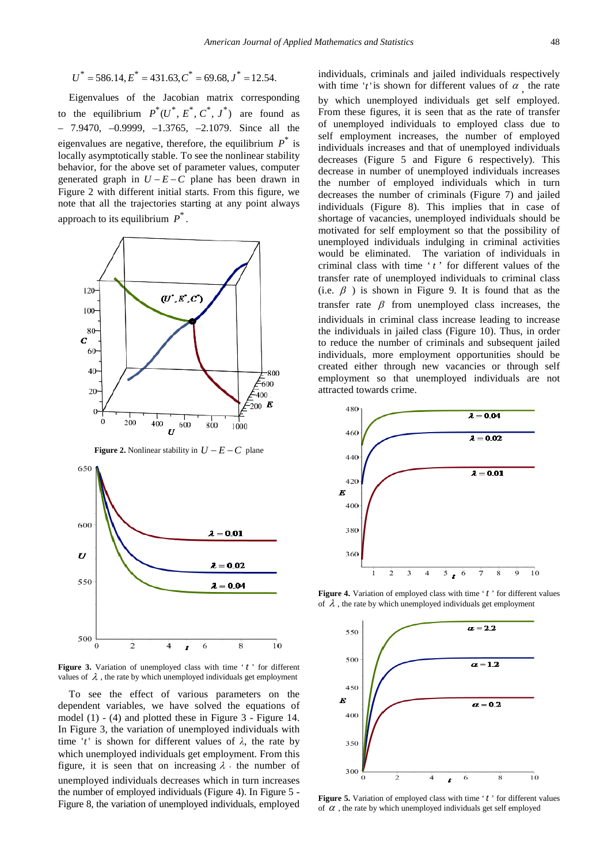$$
U^*
$$
 = 586.14,  $E^*$  = 431.63,  $C^*$  = 69.68,  $J^*$  = 12.54.

Eigenvalues of the Jacobian matrix corresponding to the equilibrium  $P^*(U^*, E^*, C^*, J^*)$  are found as  $-7.9470$ ,  $-0.9999$ ,  $-1.3765$ ,  $-2.1079$ . Since all the eigenvalues are negative, therefore, the equilibrium  $P^*$  is locally asymptotically stable. To see the nonlinear stability behavior, for the above set of parameter values, computer generated graph in  $U - E - C$  plane has been drawn in Figure 2 with different initial starts. From this figure, we note that all the trajectories starting at any point always approach to its equilibrium  $P^*$ .



**Figure 2.** Nonlinear stability in  $U - E - C$  plane



Figure 3. Variation of unemployed class with time 't' for different values of  $\lambda$ , the rate by which unemployed individuals get employment

To see the effect of various parameters on the dependent variables, we have solved the equations of model (1) - (4) and plotted these in Figure 3 - Figure 14. In Figure 3, the variation of unemployed individuals with time '*t*' is shown for different values of  $\lambda$ , the rate by which unemployed individuals get employment. From this figure, it is seen that on increasing  $\lambda$ , the number of unemployed individuals decreases which in turn increases the number of employed individuals (Figure 4). In Figure 5 - Figure 8, the variation of unemployed individuals, employed individuals, criminals and jailed individuals respectively with time 't' is shown for different values of  $\alpha$  the rate by which unemployed individuals get self employed. From these figures, it is seen that as the rate of transfer of unemployed individuals to employed class due to self employment increases, the number of employed individuals increases and that of unemployed individuals decreases (Figure 5 and Figure 6 respectively). This decrease in number of unemployed individuals increases the number of employed individuals which in turn decreases the number of criminals (Figure 7) and jailed individuals (Figure 8). This implies that in case of shortage of vacancies, unemployed individuals should be motivated for self employment so that the possibility of unemployed individuals indulging in criminal activities would be eliminated. The variation of individuals in criminal class with time 't' for different values of the transfer rate of unemployed individuals to criminal class (i.e.  $\beta$ ) is shown in Figure 9. It is found that as the transfer rate  $\beta$  from unemployed class increases, the individuals in criminal class increase leading to increase the individuals in jailed class (Figure 10). Thus, in order to reduce the number of criminals and subsequent jailed individuals, more employment opportunities should be created either through new vacancies or through self employment so that unemployed individuals are not attracted towards crime.



Figure 4. Variation of employed class with time 't' for different values of  $\lambda$ , the rate by which unemployed individuals get employment



Figure 5. Variation of employed class with time 't' for different values of  $\alpha$ , the rate by which unemployed individuals get self employed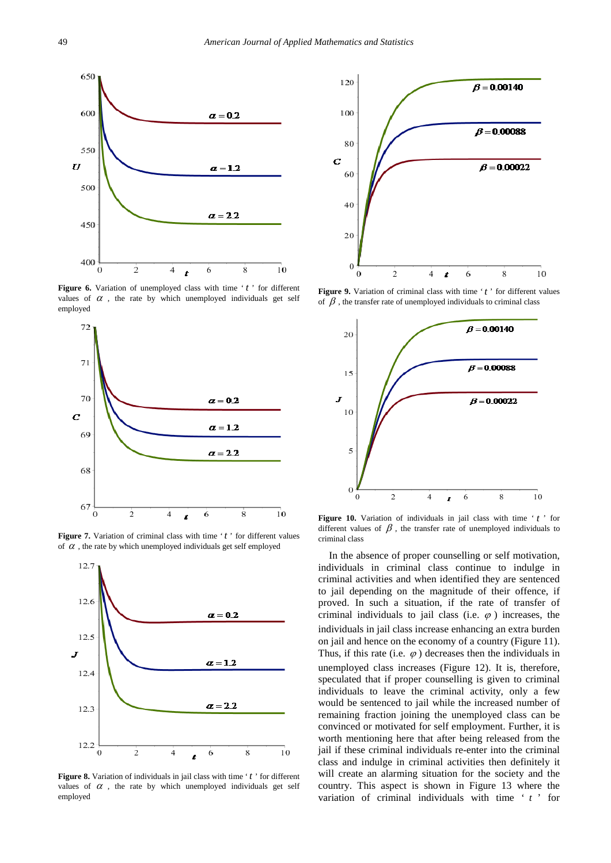

Figure 6. Variation of unemployed class with time 't' for different values of  $\alpha$ , the rate by which unemployed individuals get self employed



**Figure 7.** Variation of criminal class with time 't' for different values of  $\alpha$ , the rate by which unemployed individuals get self employed



Figure 8. Variation of individuals in jail class with time 't' for different values of  $\alpha$ , the rate by which unemployed individuals get self employed



Figure 9. Variation of criminal class with time 't' for different values of  $\beta$ , the transfer rate of unemployed individuals to criminal class



**Figure 10.** Variation of individuals in jail class with time ' $t$ ' for different values of  $\beta$ , the transfer rate of unemployed individuals to criminal class

In the absence of proper counselling or self motivation, individuals in criminal class continue to indulge in criminal activities and when identified they are sentenced to jail depending on the magnitude of their offence, if proved. In such a situation, if the rate of transfer of criminal individuals to jail class (i.e.  $\varphi$ ) increases, the individuals in jail class increase enhancing an extra burden on jail and hence on the economy of a country (Figure 11). Thus, if this rate (i.e.  $\varphi$ ) decreases then the individuals in unemployed class increases (Figure 12). It is, therefore, speculated that if proper counselling is given to criminal individuals to leave the criminal activity, only a few would be sentenced to jail while the increased number of remaining fraction joining the unemployed class can be convinced or motivated for self employment. Further, it is worth mentioning here that after being released from the jail if these criminal individuals re-enter into the criminal class and indulge in criminal activities then definitely it will create an alarming situation for the society and the country. This aspect is shown in Figure 13 where the variation of criminal individuals with time ' *t* ' for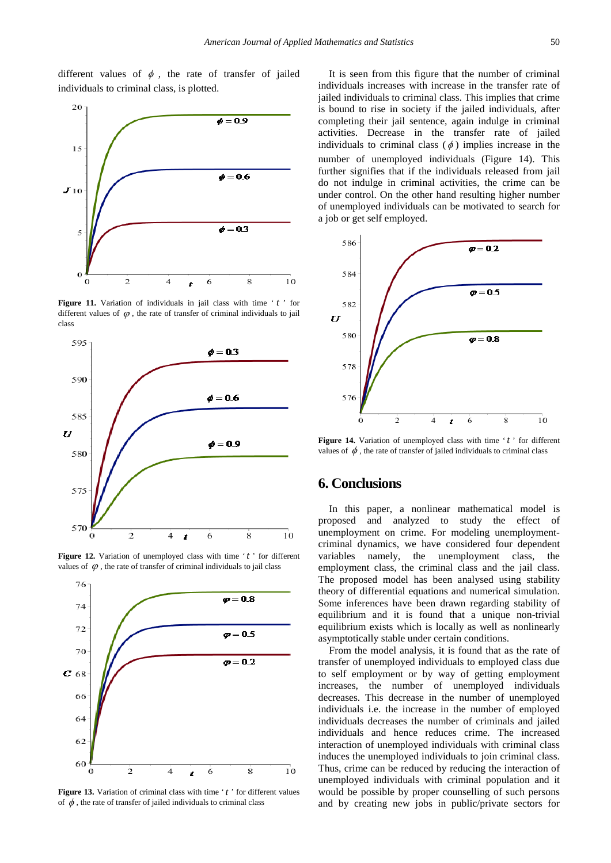different values of  $\phi$ , the rate of transfer of jailed individuals to criminal class, is plotted.



Figure 11. Variation of individuals in jail class with time 't' for different values of  $\varphi$ , the rate of transfer of criminal individuals to jail class







Figure 13. Variation of criminal class with time 't' for different values of  $\phi$ , the rate of transfer of jailed individuals to criminal class

It is seen from this figure that the number of criminal individuals increases with increase in the transfer rate of jailed individuals to criminal class. This implies that crime is bound to rise in society if the jailed individuals, after completing their jail sentence, again indulge in criminal activities. Decrease in the transfer rate of jailed individuals to criminal class  $(\phi)$  implies increase in the number of unemployed individuals (Figure 14). This further signifies that if the individuals released from jail do not indulge in criminal activities, the crime can be under control. On the other hand resulting higher number of unemployed individuals can be motivated to search for a job or get self employed.



**Figure 14.** Variation of unemployed class with time 't' for different values of  $\phi$ , the rate of transfer of jailed individuals to criminal class

#### **6. Conclusions**

In this paper, a nonlinear mathematical model is proposed and analyzed to study the effect of unemployment on crime. For modeling unemploymentcriminal dynamics, we have considered four dependent variables namely, the unemployment class, the employment class, the criminal class and the jail class. The proposed model has been analysed using stability theory of differential equations and numerical simulation. Some inferences have been drawn regarding stability of equilibrium and it is found that a unique non-trivial equilibrium exists which is locally as well as nonlinearly asymptotically stable under certain conditions.

From the model analysis, it is found that as the rate of transfer of unemployed individuals to employed class due to self employment or by way of getting employment increases, the number of unemployed individuals decreases. This decrease in the number of unemployed individuals i.e. the increase in the number of employed individuals decreases the number of criminals and jailed individuals and hence reduces crime. The increased interaction of unemployed individuals with criminal class induces the unemployed individuals to join criminal class. Thus, crime can be reduced by reducing the interaction of unemployed individuals with criminal population and it would be possible by proper counselling of such persons and by creating new jobs in public/private sectors for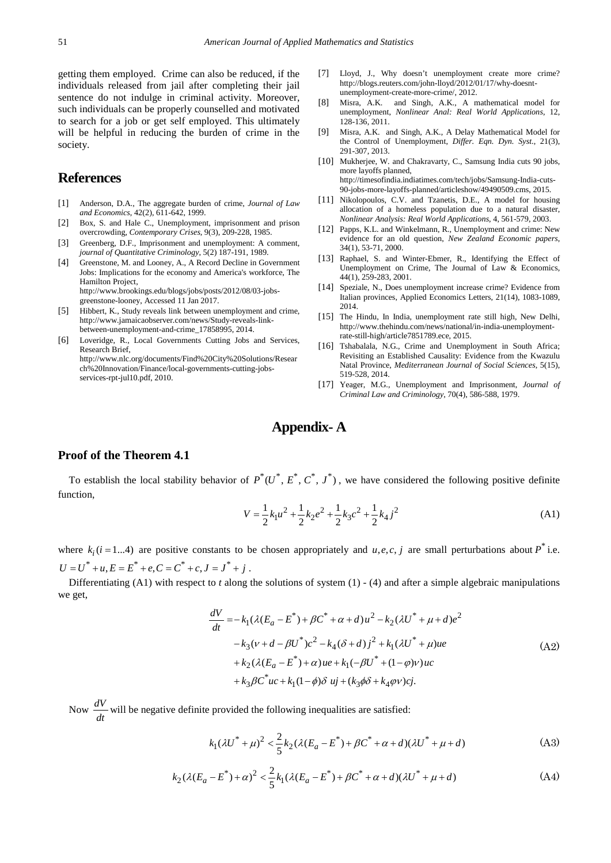getting them employed. Crime can also be reduced, if the individuals released from jail after completing their jail sentence do not indulge in criminal activity. Moreover, such individuals can be properly counselled and motivated to search for a job or get self employed. This ultimately will be helpful in reducing the burden of crime in the society.

# **References**

- <span id="page-7-1"></span>[1] Anderson, D.A., The aggregate burden of crime, *Journal of Law and Economics*, 42(2), 611-642, 1999.
- <span id="page-7-3"></span>[2] Box, S. and Hale C., Unemployment, imprisonment and prison overcrowding, *Contemporary Crises*, 9(3), 209-228, 1985.
- [3] Greenberg, D.F., Imprisonment and unemployment: A comment, *journal of Quantitative Criminology*, 5(2) 187-191, 1989.
- <span id="page-7-0"></span>[4] Greenstone, M. and Looney, A., A Record Decline in Government Jobs: Implications for the economy and America's workforce, The Hamilton Project, http://www.brookings.edu/blogs/jobs/posts/2012/08/03-jobsgreenstone-looney, Accessed 11 Jan 2017.
- <span id="page-7-4"></span>[5] Hibbert, K., Study reveals link between unemployment and crime, http://www.jamaicaobserver.com/news/Study-reveals-linkbetween-unemployment-and-crime\_17858995, 2014.
- [6] Loveridge, R., Local Governments Cutting Jobs and Services, Research Brief, http://www.nlc.org/documents/Find%20City%20Solutions/Resear ch%20Innovation/Finance/local-governments-cutting-jobsservices-rpt-jul10.pdf, 2010.
- <span id="page-7-5"></span>[7] Lloyd, J., Why doesn't unemployment create more crime? http://blogs.reuters.com/john-lloyd/2012/01/17/why-doesntunemployment-create-more-crime/, 2012.
- <span id="page-7-6"></span>[8] Misra, A.K. and Singh, A.K., A mathematical model for unemployment, *Nonlinear Anal: Real World Applications*, 12, 128-136, 2011.
- <span id="page-7-7"></span>[9] Misra, A.K. and Singh, A.K., A Delay Mathematical Model for the Control of Unemployment, *Differ. Eqn. Dyn. Syst*., 21(3), 291-307, 2013.
- [10] Mukherjee, W. and Chakravarty, C., Samsung India cuts 90 jobs, more layoffs planned, http://timesofindia.indiatimes.com/tech/jobs/Samsung-India-cuts-90-jobs-more-layoffs-planned/articleshow/49490509.cms, 2015.
- [11] Nikolopoulos, C.V. and Tzanetis, D.E., A model for housing allocation of a homeless population due to a natural disaster, *Nonlinear Analysis: Real World Applications*, 4, 561-579, 2003.
- [12] Papps, K.L. and Winkelmann, R., Unemployment and crime: New evidence for an old question, *New Zealand Economic papers*, 34(1), 53-71, 2000.
- [13] Raphael, S. and Winter-Ebmer, R., Identifying the Effect of Unemployment on Crime, The Journal of Law & Economics*,*  44(1), 259-283, 2001.
- [14] Speziale, N., Does unemployment increase crime? Evidence from Italian provinces, Applied Economics Letters, 21(14), 1083-1089, 2014.
- <span id="page-7-2"></span>[15] The Hindu, In India, unemployment rate still high, New Delhi, http://www.thehindu.com/news/national/in-india-unemploymentrate-still-high/article7851789.ece, 2015.
- [16] Tshabalala, N.G., Crime and Unemployment in South Africa; Revisiting an Established Causality: Evidence from the Kwazulu Natal Province, *Mediterranean Journal of Social Sciences*, 5(15), 519-528, 2014.
- [17] Yeager, M.G., Unemployment and Imprisonment, *Journal of Criminal Law and Criminology*, 70(4), 586-588, 1979.

## **Appendix- A**

#### **Proof of the Theorem 4.1**

To establish the local stability behavior of  $P^*(U^*, E^*, C^*, J^*)$ , we have considered the following positive definite function,

$$
V = \frac{1}{2}k_1u^2 + \frac{1}{2}k_2e^2 + \frac{1}{2}k_3c^2 + \frac{1}{2}k_4j^2
$$
 (A1)

where  $k_i$  ( $i = 1...4$ ) are positive constants to be chosen appropriately and  $u, e, c, j$  are small perturbations about  $P^*$  i.e.  $U = U^* + u \cdot E = E^* + e \cdot C = C^* + c \cdot J = J^* + i$ 

Differentiating  $(A1)$  with respect to *t* along the solutions of system  $(1)$  -  $(4)$  and after a simple algebraic manipulations we get,

$$
\frac{dV}{dt} = -k_1(\lambda(E_a - E^*) + \beta C^* + \alpha + d)u^2 - k_2(\lambda U^* + \mu + d)e^2
$$
  
\n
$$
-k_3(\nu + d - \beta U^*)c^2 - k_4(\delta + d)j^2 + k_1(\lambda U^* + \mu)ue
$$
  
\n
$$
+k_2(\lambda(E_a - E^*) + \alpha)ue + k_1(-\beta U^* + (1 - \varphi)\nu)uc
$$
  
\n
$$
+k_3\beta C^*uc + k_1(1 - \phi)\delta uj + (k_3\phi\delta + k_4\varphi\nu)cj.
$$
\n(A2)

Now  $\frac{dV}{dt}$  will be negative definite provided the following inequalities are satisfied:

$$
k_1(\lambda U^* + \mu)^2 < \frac{2}{5} k_2(\lambda (E_a - E^*) + \beta C^* + \alpha + d)(\lambda U^* + \mu + d) \tag{A3}
$$

$$
k_2(\lambda(E_a - E^*) + \alpha)^2 < \frac{2}{5}k_1(\lambda(E_a - E^*) + \beta C^* + \alpha + d)(\lambda U^* + \mu + d)
$$
 (A4)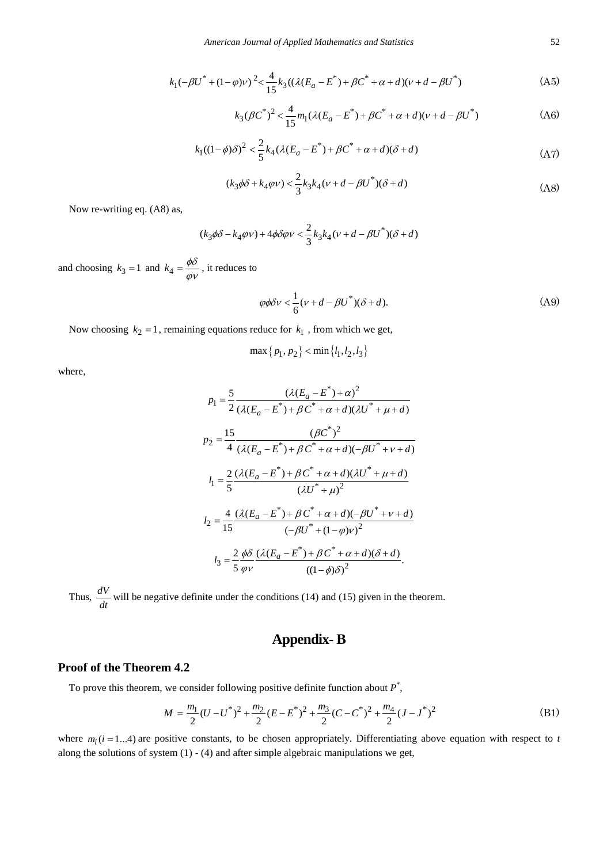$$
k_1(-\beta U^* + (1 - \varphi)\nu)^2 < \frac{4}{15}k_3((\lambda(E_a - E^*) + \beta C^* + \alpha + d)(\nu + d - \beta U^*)
$$
 (A5)

$$
k_3(\beta C^*)^2 < \frac{4}{15}m_1(\lambda(E_a - E^*) + \beta C^* + \alpha + d)(v + d - \beta U^*)
$$
 (A6)

$$
k_1((1-\phi)\delta)^2 < \frac{2}{5}k_4(\lambda(E_a - E^*) + \beta C^* + \alpha + d)(\delta + d)
$$
 (A7)

$$
(k_3\phi\delta + k_4\varphi\nu) < \frac{2}{3}k_3k_4(\nu + d - \beta U^*)(\delta + d)
$$
\n(A8)

Now re-writing eq. (A8) as,

$$
(k_3\phi\delta-k_4\varphi\nu)+4\phi\delta\varphi\nu<\frac{2}{3}k_3k_4(\nu+d-\beta{U}^*)(\delta+d)
$$

and choosing  $k_3 = 1$  and  $k_4 = \frac{\phi \delta}{\phi v}$ , it reduces to

$$
\varphi \phi \delta v < \frac{1}{6} (v + d - \beta U^*)(\delta + d). \tag{A9}
$$

Now choosing  $k_2 = 1$ , remaining equations reduce for  $k_1$ , from which we get,

$$
\max\{p_1, p_2\} < \min\{l_1, l_2, l_3\}
$$

where,

$$
p_1 = \frac{5}{2} \frac{(\lambda (E_a - E^*) + \alpha)^2}{(\lambda (E_a - E^*) + \beta C^* + \alpha + d)(\lambda U^* + \mu + d)}
$$
  
\n
$$
p_2 = \frac{15}{4} \frac{(\beta C^*)^2}{(\lambda (E_a - E^*) + \beta C^* + \alpha + d)(-\beta U^* + \nu + d)}
$$
  
\n
$$
l_1 = \frac{2}{5} \frac{(\lambda (E_a - E^*) + \beta C^* + \alpha + d)(\lambda U^* + \mu + d)}{(\lambda U^* + \mu)^2}
$$
  
\n
$$
l_2 = \frac{4}{15} \frac{(\lambda (E_a - E^*) + \beta C^* + \alpha + d)(-\beta U^* + \nu + d)}{(-\beta U^* + (1 - \varphi)\nu)^2}
$$
  
\n
$$
l_3 = \frac{2}{5} \frac{\phi \delta}{\varphi \nu} \frac{(\lambda (E_a - E^*) + \beta C^* + \alpha + d)(\delta + d)}{((1 - \varphi)\delta)^2}.
$$

Thus,  $\frac{dV}{dt}$  will be negative definite under the conditions (14) and (15) given in the theorem.

# **Appendix- B**

#### **Proof of the Theorem 4.2**

To prove this theorem, we consider following positive definite function about *P*\* ,

$$
M = \frac{m_1}{2}(U - U^*)^2 + \frac{m_2}{2}(E - E^*)^2 + \frac{m_3}{2}(C - C^*)^2 + \frac{m_4}{2}(J - J^*)^2
$$
(B1)

where  $m_i$  ( $i = 1...4$ ) are positive constants, to be chosen appropriately. Differentiating above equation with respect to *t* along the solutions of system  $(1) - (4)$  and after simple algebraic manipulations we get,